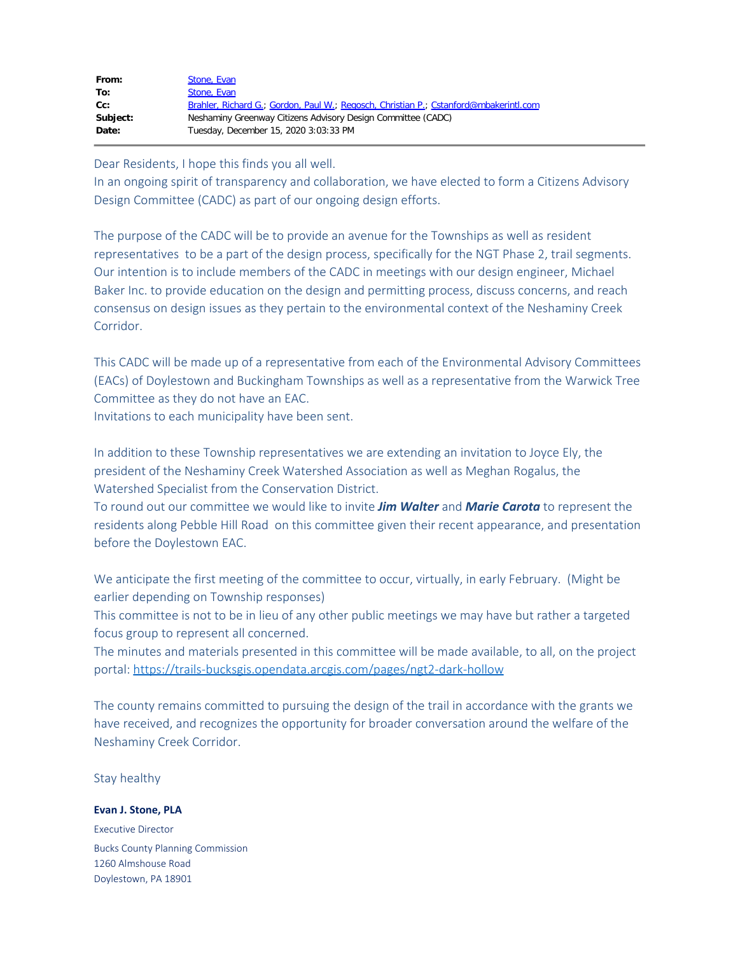| From:    | Stone, Evan                                                                           |
|----------|---------------------------------------------------------------------------------------|
| To:      | Stone, Evan                                                                           |
| cc:      | Brahler, Richard G.; Gordon, Paul W.; Regosch, Christian P.; Cstanford@mbakerintl.com |
| Subject: | Neshaminy Greenway Citizens Advisory Design Committee (CADC)                          |
| Date:    | Tuesday, December 15, 2020 3:03:33 PM                                                 |
|          |                                                                                       |

Dear Residents, I hope this finds you all well.

In an ongoing spirit of transparency and collaboration, we have elected to form a Citizens Advisory Design Committee (CADC) as part of our ongoing design efforts.

The purpose of the CADC will be to provide an avenue for the Townships as well as resident representatives to be a part of the design process, specifically for the NGT Phase 2, trail segments. Our intention is to include members of the CADC in meetings with our design engineer, Michael Baker Inc. to provide education on the design and permitting process, discuss concerns, and reach consensus on design issues as they pertain to the environmental context of the Neshaminy Creek Corridor.

This CADC will be made up of a representative from each of the Environmental Advisory Committees (EACs) of Doylestown and Buckingham Townships as well as a representative from the Warwick Tree Committee as they do not have an EAC.

Invitations to each municipality have been sent.

In addition to these Township representatives we are extending an invitation to Joyce Ely, the president of the Neshaminy Creek Watershed Association as well as Meghan Rogalus, the Watershed Specialist from the Conservation District.

To round out our committee we would like to invite *Jim Walter* and *Marie Carota* to represent the residents along Pebble Hill Road on this committee given their recent appearance, and presentation before the Doylestown EAC.

We anticipate the first meeting of the committee to occur, virtually, in early February. (Might be earlier depending on Township responses)

This committee is not to be in lieu of any other public meetings we may have but rather a targeted focus group to represent all concerned.

The minutes and materials presented in this committee will be made available, to all, on the project portal: [https://trails-bucksgis.opendata.arcgis.com/pages/ngt2-dark-hollow](https://gcc02.safelinks.protection.outlook.com/?url=https%3A%2F%2Ftrails-bucksgis.opendata.arcgis.com%2Fpages%2Fngt2-dark-hollow&data=04%7C01%7Cpwgordon%40buckscounty.org%7Ce26c52b40e324bf70d9a08d8a1347f06%7C84e2e871e7fc4b00a387ce8840a4e58d%7C0%7C0%7C637436594129560885%7CUnknown%7CTWFpbGZsb3d8eyJWIjoiMC4wLjAwMDAiLCJQIjoiV2luMzIiLCJBTiI6Ik1haWwiLCJXVCI6Mn0%3D%7C1000&sdata=WzLy4IunmL8rCqBWKzWH0owUzFUTU9S3a7LMg%2BwpAM8%3D&reserved=0)

The county remains committed to pursuing the design of the trail in accordance with the grants we have received, and recognizes the opportunity for broader conversation around the welfare of the Neshaminy Creek Corridor.

Stay healthy

**Evan J. Stone, PLA**

Executive Director Bucks County Planning Commission 1260 Almshouse Road Doylestown, PA 18901